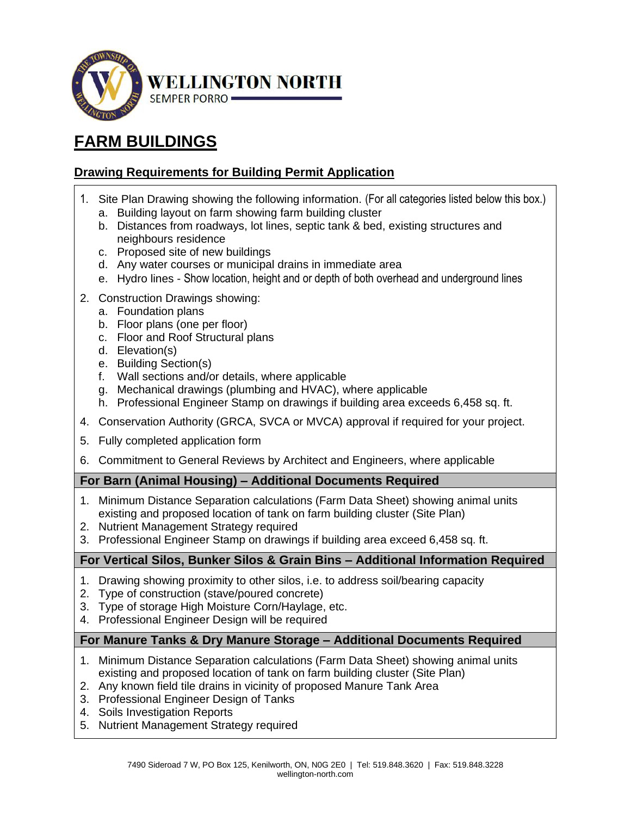

# **FARM BUILDINGS**

## **Drawing Requirements for Building Permit Application**

- 1. Site Plan Drawing showing the following information. (For all categories listed below this box.)
	- a. Building layout on farm showing farm building cluster
	- b. Distances from roadways, lot lines, septic tank & bed, existing structures and neighbours residence
	- c. Proposed site of new buildings
	- d. Any water courses or municipal drains in immediate area
	- e. Hydro lines Show location, height and or depth of both overhead and underground lines
- 2. Construction Drawings showing:
	- a. Foundation plans
	- b. Floor plans (one per floor)
	- c. Floor and Roof Structural plans
	- d. Elevation(s)
	- e. Building Section(s)
	- f. Wall sections and/or details, where applicable
	- g. Mechanical drawings (plumbing and HVAC), where applicable
	- h. Professional Engineer Stamp on drawings if building area exceeds 6,458 sq. ft.
- 4. Conservation Authority (GRCA, SVCA or MVCA) approval if required for your project.
- 5. Fully completed application form
- 6. Commitment to General Reviews by Architect and Engineers, where applicable

## **For Barn (Animal Housing) – Additional Documents Required**

- 1. Minimum Distance Separation calculations (Farm Data Sheet) showing animal units existing and proposed location of tank on farm building cluster (Site Plan)
- 2. Nutrient Management Strategy required
- 3. Professional Engineer Stamp on drawings if building area exceed 6,458 sq. ft.

## **For Vertical Silos, Bunker Silos & Grain Bins – Additional Information Required**

- 1. Drawing showing proximity to other silos, i.e. to address soil/bearing capacity
- 2. Type of construction (stave/poured concrete)
- 3. Type of storage High Moisture Corn/Haylage, etc.
- 4. Professional Engineer Design will be required

## **For Manure Tanks & Dry Manure Storage – Additional Documents Required**

- 1. Minimum Distance Separation calculations (Farm Data Sheet) showing animal units existing and proposed location of tank on farm building cluster (Site Plan)
- 2. Any known field tile drains in vicinity of proposed Manure Tank Area
- 3. Professional Engineer Design of Tanks
- 4. Soils Investigation Reports
- 5. Nutrient Management Strategy required